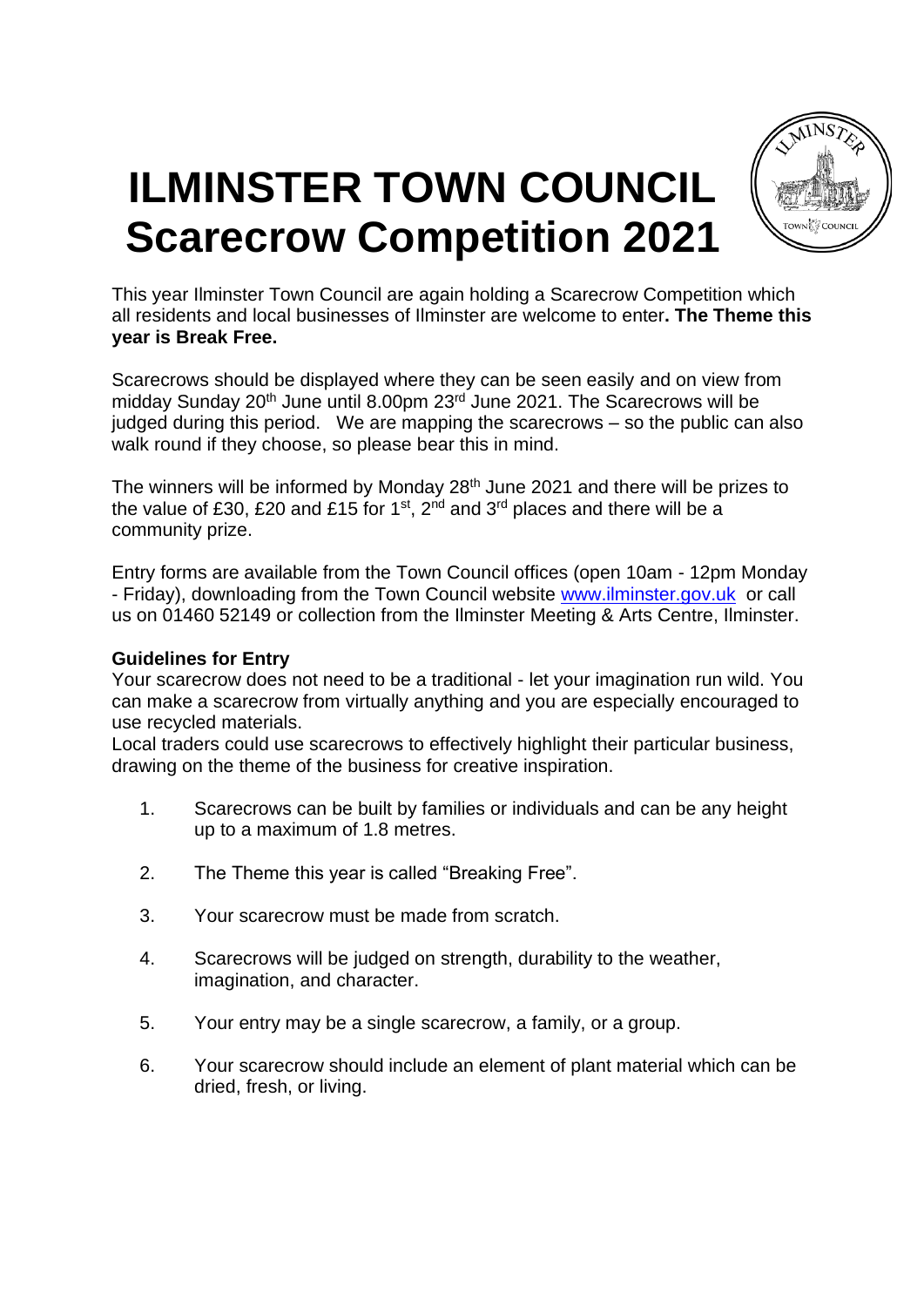

## **ILMINSTER TOWN COUNCIL Scarecrow Competition 2021**

This year Ilminster Town Council are again holding a Scarecrow Competition which all residents and local businesses of Ilminster are welcome to enter**. The Theme this year is Break Free.** 

Scarecrows should be displayed where they can be seen easily and on view from midday Sunday 20<sup>th</sup> June until 8.00pm 23<sup>rd</sup> June 2021. The Scarecrows will be judged during this period. We are mapping the scarecrows – so the public can also walk round if they choose, so please bear this in mind.

The winners will be informed by Monday  $28<sup>th</sup>$  June 2021 and there will be prizes to the value of £30, £20 and £15 for 1<sup>st</sup>, 2<sup>nd</sup> and 3<sup>rd</sup> places and there will be a community prize.

Entry forms are available from the Town Council offices (open 10am - 12pm Monday - Friday), downloading from the Town Council website [www.ilminster.gov.uk](http://www.ilminster.gov.uk/) or call us on 01460 52149 or collection from the Ilminster Meeting & Arts Centre, Ilminster.

## **Guidelines for Entry**

Your scarecrow does not need to be a traditional - let your imagination run wild. You can make a scarecrow from virtually anything and you are especially encouraged to use recycled materials.

Local traders could use scarecrows to effectively highlight their particular business, drawing on the theme of the business for creative inspiration.

- 1. Scarecrows can be built by families or individuals and can be any height up to a maximum of 1.8 metres.
- 2. The Theme this year is called "Breaking Free".
- 3. Your scarecrow must be made from scratch.
- 4. Scarecrows will be judged on strength, durability to the weather, imagination, and character.
- 5. Your entry may be a single scarecrow, a family, or a group.
- 6. Your scarecrow should include an element of plant material which can be dried, fresh, or living.